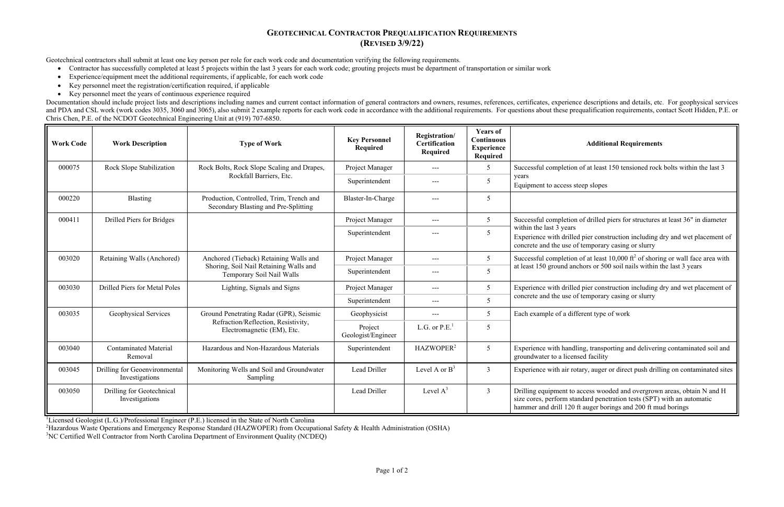## **GEOTECHNICAL CONTRACTOR PREQUALIFICATION REQUIREMENTS (REVISED 3/9/22)**

## of at least 150 tensioned rock bolts within the last 3 of drilled piers for structures at least 36" in diameter d pier construction including dry and wet placement of f temporary casing or slurry of at least 10,000 ft<sup>2</sup> of shoring or wall face area with chors or 500 soil nails within the last 3 years d pier construction including dry and wet placement of

ling, transporting and delivering contaminated soil and sed facility

tary, auger or direct push drilling on contaminated sites

access wooded and overgrown areas, obtain N and H indard penetration tests (SPT) with an automatic ft auger borings and 200 ft mud borings

Geotechnical contractors shall submit at least one key person per role for each work code and documentation verifying the following requirements.

- $\bullet$ Contractor has successfully completed at least 5 projects within the last 3 years for each work code; grouting projects must be department of transportation or similar work
- $\bullet$ Experience/equipment meet the additional requirements, if applicable, for each work code
- $\bullet$ Key personnel meet the registration/certification required, if applicable
- $\bullet$ Key personnel meet the years of continuous experience required

Documentation should include project lists and descriptions including names and current contact information of general contractors and owners, resumes, references, certificates, experience descriptions and details, etc. Fo and PDA and CSL work (work codes 3035, 3060 and 3065), also submit 2 example reports for each work code in accordance with the additional requirements. For questions about these prequalification requirements, contact Scott Chris Chen, P.E. of the NCDOT Geotechnical Engineering Unit at (919) 707-6850.

| <b>Work Code</b> | <b>Work Description</b>                         | <b>Type of Work</b>                                                                                           | <b>Key Personnel</b><br><b>Required</b> | Registration/<br>Certification<br>Required | <b>Years of</b><br>Continuous<br><b>Experience</b><br><b>Required</b> | <b>Additional Requirements</b>                                                                                                                                                                    |
|------------------|-------------------------------------------------|---------------------------------------------------------------------------------------------------------------|-----------------------------------------|--------------------------------------------|-----------------------------------------------------------------------|---------------------------------------------------------------------------------------------------------------------------------------------------------------------------------------------------|
| 000075           | Rock Slope Stabilization                        | Rock Bolts, Rock Slope Scaling and Drapes,                                                                    | Project Manager                         | $---$                                      | 5                                                                     | Successful completion of at least 150 tensioned rock                                                                                                                                              |
|                  |                                                 | Rockfall Barriers, Etc.                                                                                       | Superintendent                          | $---$                                      | 5                                                                     | years<br>Equipment to access steep slopes                                                                                                                                                         |
| 000220           | <b>Blasting</b>                                 | Production, Controlled, Trim, Trench and<br>Secondary Blasting and Pre-Splitting                              | Blaster-In-Charge                       | $---$                                      | 5                                                                     |                                                                                                                                                                                                   |
| 000411           | Drilled Piers for Bridges                       |                                                                                                               | Project Manager                         | $---$                                      | 5                                                                     | Successful completion of drilled piers for structures a<br>within the last 3 years<br>Experience with drilled pier construction including d<br>concrete and the use of temporary casing or slurry |
|                  |                                                 |                                                                                                               | Superintendent                          | $---$                                      | 5                                                                     |                                                                                                                                                                                                   |
| 003020           | Retaining Walls (Anchored)                      | Anchored (Tieback) Retaining Walls and<br>Shoring, Soil Nail Retaining Walls and<br>Temporary Soil Nail Walls | Project Manager                         | $---$                                      | 5                                                                     | Successful completion of at least $10,000$ ft <sup>2</sup> of shorin<br>at least 150 ground anchors or 500 soil nails within th                                                                   |
|                  |                                                 |                                                                                                               | Superintendent                          | ---                                        | 5                                                                     |                                                                                                                                                                                                   |
| 003030           | Drilled Piers for Metal Poles                   | Lighting, Signals and Signs                                                                                   | Project Manager                         | $---$                                      | 5                                                                     | Experience with drilled pier construction including d<br>concrete and the use of temporary casing or slurry                                                                                       |
|                  |                                                 |                                                                                                               | Superintendent                          | ---                                        | 5                                                                     |                                                                                                                                                                                                   |
| 003035           | Geophysical Services                            | Ground Penetrating Radar (GPR), Seismic<br>Refraction/Reflection, Resistivity,<br>Electromagnetic (EM), Etc.  | Geophysicist                            | $---$                                      | 5                                                                     | Each example of a different type of work                                                                                                                                                          |
|                  |                                                 |                                                                                                               | Project<br>Geologist/Engineer           | L.G. or $P.E.1$                            | 5                                                                     |                                                                                                                                                                                                   |
| 003040           | <b>Contaminated Material</b><br>Removal         | Hazardous and Non-Hazardous Materials                                                                         | Superintendent                          | HAZWOPER <sup>2</sup>                      | 5                                                                     | Experience with handling, transporting and delivering<br>groundwater to a licensed facility                                                                                                       |
| 003045           | Drilling for Geoenvironmental<br>Investigations | Monitoring Wells and Soil and Groundwater<br>Sampling                                                         | Lead Driller                            | Level A or $B^3$                           | $\mathfrak{Z}$                                                        | Experience with air rotary, auger or direct push drillin                                                                                                                                          |
| 003050           | Drilling for Geotechnical<br>Investigations     |                                                                                                               | Lead Driller                            | Level $A^3$                                | $\overline{3}$                                                        | Drilling equipment to access wooded and overgrown<br>size cores, perform standard penetration tests (SPT) v<br>hammer and drill 120 ft auger borings and 200 ft mu                                |

<sup>1</sup>Licensed Geologist (L.G.)/Professional Engineer (P.E.) licensed in the State of North Carolina

<sup>2</sup>Hazardous Waste Operations and Emergency Response Standard (HAZWOPER) from Occupational Safety & Health Administration (OSHA)

<sup>3</sup>NC Certified Well Contractor from North Carolina Department of Environment Quality (NCDEQ)